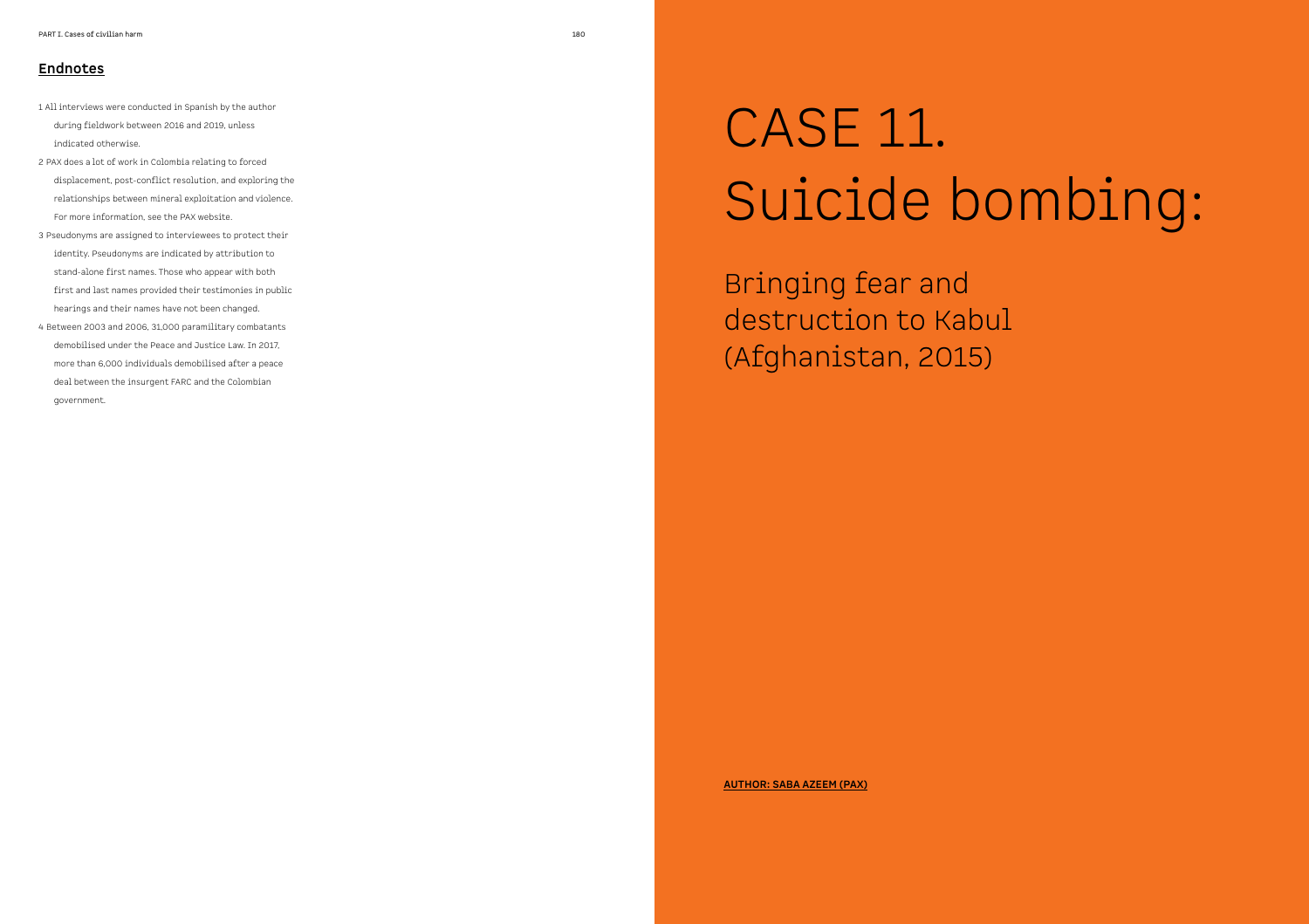# **CASE 11.** Suicide bombing:

Bringing fear and destruction to Kabul (Afghanistan, 2015)

**AUTHOR: SABA AZEEM (PAX)**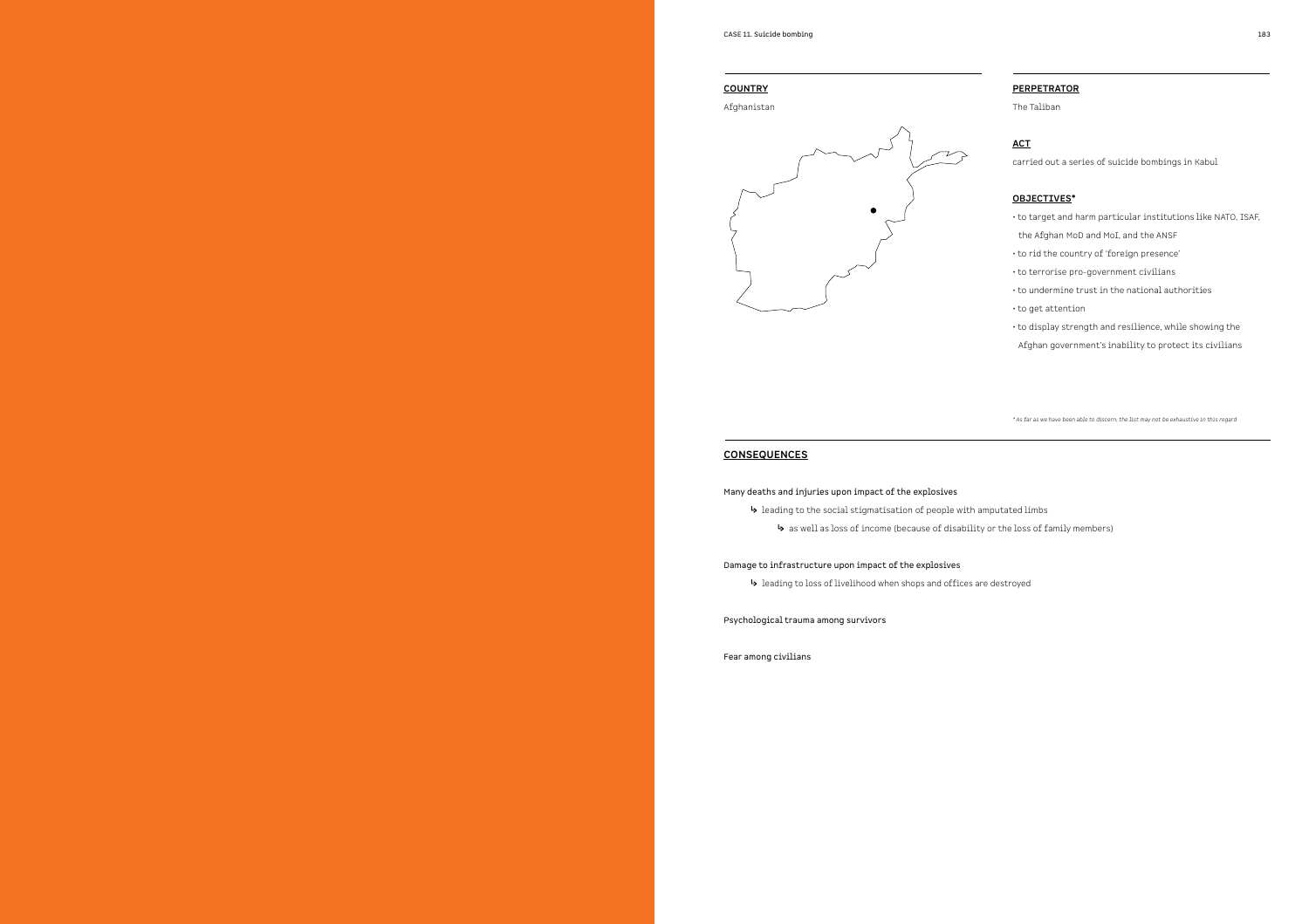## **COUNTRY**

Afghanistan



## **PERPETRATOR**

The Taliban

## **ACT**

carried out a series of suicide bombings in Kabul

## **OBJECTIVES\***

• to target and harm particular institutions like NATO, ISAF,

- the Afghan MoD and MoI, and the ANSF
- to rid the country of 'foreign presence'
- to terrorise pro-government civilians
- to undermine trust in the national authorities
- to get attention
- to display strength and resilience, while showing the
- Afghan government's inability to protect its civilians

*\* As far as we have been able to discern; the list may not be exhaustive in this regard*

## **CONSEQUENCES**

Many deaths and injuries upon impact of the explosives

leading to the social stigmatisation of people with amputated limbs

as well as loss of income (because of disability or the loss of family members)

#### Damage to infrastructure upon impact of the explosives

leading to loss of livelihood when shops and offices are destroyed

Psychological trauma among survivors

Fear among civilians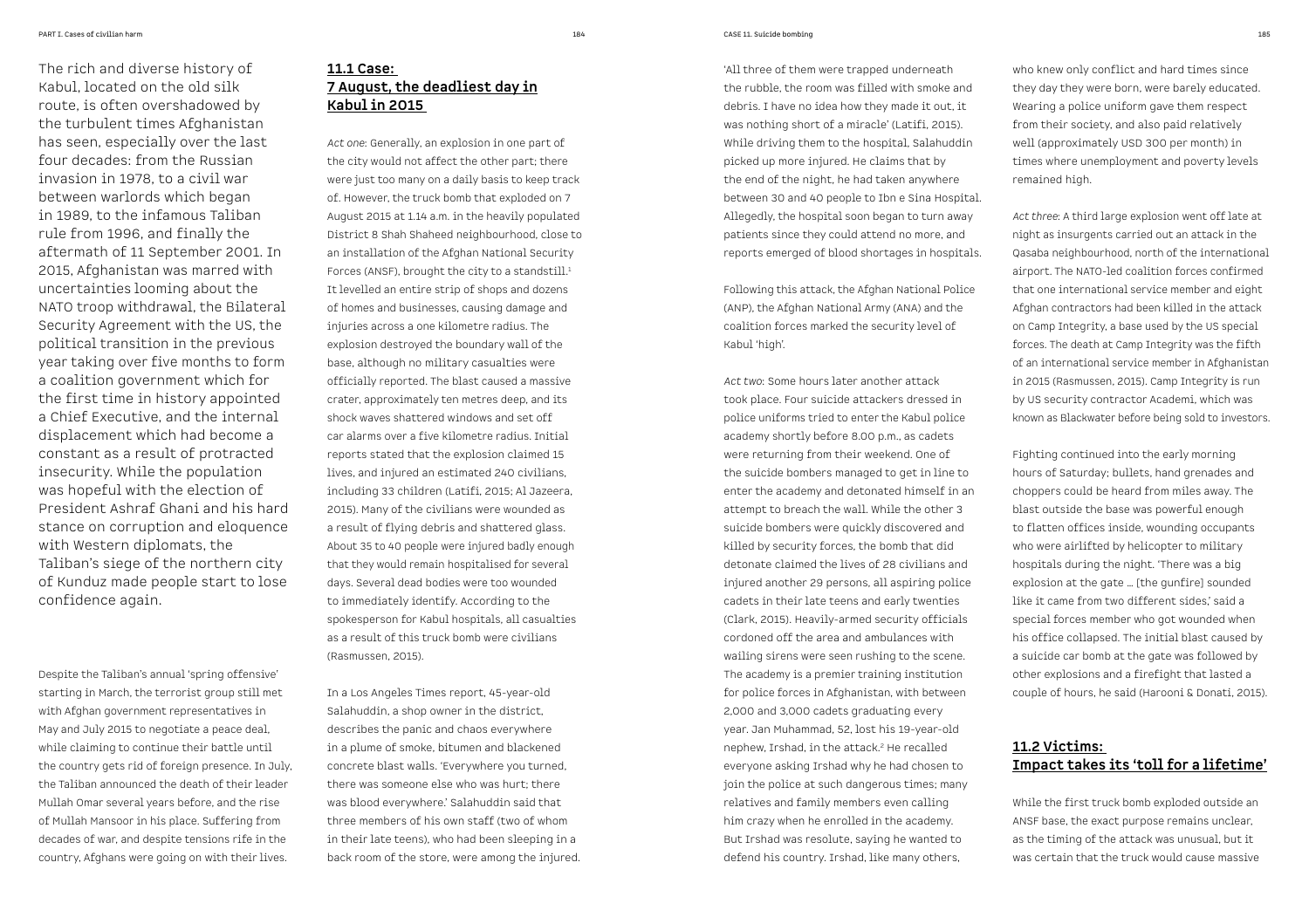The rich and diverse history of Kabul, located on the old silk route, is often overshadowed by the turbulent times Afghanistan has seen, especially over the last four decades: from the Russian invasion in 1978, to a civil war between warlords which began in 1989, to the infamous Taliban rule from 1996, and finally the aftermath of 11 September 2001. In 2015, Afghanistan was marred with uncertainties looming about the NATO troop withdrawal, the Bilateral Security Agreement with the US, the political transition in the previous year taking over five months to form a coalition government which for the first time in history appointed a Chief Executive, and the internal displacement which had become a constant as a result of protracted insecurity. While the population was hopeful with the election of President Ashraf Ghani and his hard stance on corruption and eloquence with Western diplomats, the Taliban's siege of the northern city of Kunduz made people start to lose confidence again.

Despite the Taliban's annual 'spring offensive' starting in March, the terrorist group still met with Afghan government representatives in May and July 2015 to negotiate a peace deal, while claiming to continue their battle until the country gets rid of foreign presence. In July, the Taliban announced the death of their leader Mullah Omar several years before, and the rise of Mullah Mansoor in his place. Suffering from decades of war, and despite tensions rife in the country, Afghans were going on with their lives.

# **11.1 Case: 7 August, the deadliest day in Kabul in 2015**

*Act one*: Generally, an explosion in one part of the city would not affect the other part; there were just too many on a daily basis to keep track of. However, the truck bomb that exploded on 7 August 2015 at 1.14 a.m. in the heavily populated District 8 Shah Shaheed neighbourhood, close to an installation of the Afghan National Security Forces (ANSF), brought the city to a standstill.1 It levelled an entire strip of shops and dozens of homes and businesses, causing damage and injuries across a one kilometre radius. The explosion destroyed the boundary wall of the base, although no military casualties were officially reported. The blast caused a massive crater, approximately ten metres deep, and its shock waves shattered windows and set off car alarms over a five kilometre radius. Initial reports stated that the explosion claimed 15 lives, and injured an estimated 240 civilians, including 33 children (Latifi, 2015; Al Jazeera, 2015). Many of the civilians were wounded as a result of flying debris and shattered glass. About 35 to 40 people were injured badly enough that they would remain hospitalised for several days. Several dead bodies were too wounded to immediately identify. According to the spokesperson for Kabul hospitals, all casualties as a result of this truck bomb were civilians (Rasmussen, 2015).

In a Los Angeles Times report, 45-year-old Salahuddin, a shop owner in the district, describes the panic and chaos everywhere in a plume of smoke, bitumen and blackened concrete blast walls. 'Everywhere you turned, there was someone else who was hurt; there was blood everywhere.' Salahuddin said that three members of his own staff (two of whom in their late teens), who had been sleeping in a back room of the store, were among the injured. 'All three of them were trapped underneath the rubble, the room was filled with smoke and debris. I have no idea how they made it out, it was nothing short of a miracle' (Latifi, 2015). While driving them to the hospital, Salahuddin picked up more injured. He claims that by the end of the night, he had taken anywhere between 30 and 40 people to Ibn e Sina Hospital. Allegedly, the hospital soon began to turn away patients since they could attend no more, and reports emerged of blood shortages in hospitals.

Following this attack, the Afghan National Police (ANP), the Afghan National Army (ANA) and the coalition forces marked the security level of Kabul 'high'.

*Act two*: Some hours later another attack took place. Four suicide attackers dressed in police uniforms tried to enter the Kabul police academy shortly before 8.00 p.m., as cadets were returning from their weekend. One of the suicide bombers managed to get in line to enter the academy and detonated himself in an attempt to breach the wall. While the other 3 suicide bombers were quickly discovered and killed by security forces, the bomb that did detonate claimed the lives of 28 civilians and injured another 29 persons, all aspiring police cadets in their late teens and early twenties (Clark, 2015). Heavily-armed security officials cordoned off the area and ambulances with wailing sirens were seen rushing to the scene. The academy is a premier training institution for police forces in Afghanistan, with between 2,000 and 3,000 cadets graduating every year. Jan Muhammad, 52, lost his 19-year-old nephew, Irshad, in the attack.<sup>2</sup> He recalled everyone asking Irshad why he had chosen to join the police at such dangerous times; many relatives and family members even calling him crazy when he enrolled in the academy. But Irshad was resolute, saying he wanted to defend his country. Irshad, like many others,

who knew only conflict and hard times since they day they were born, were barely educated. Wearing a police uniform gave them respect from their society, and also paid relatively well (approximately USD 300 per month) in times where unemployment and poverty levels remained high.

*Act three*: A third large explosion went off late at night as insurgents carried out an attack in the Qasaba neighbourhood, north of the international airport. The NATO-led coalition forces confirmed that one international service member and eight Afghan contractors had been killed in the attack on Camp Integrity, a base used by the US special forces. The death at Camp Integrity was the fifth of an international service member in Afghanistan in 2015 (Rasmussen, 2015). Camp Integrity is run by US security contractor Academi, which was known as Blackwater before being sold to investors.

Fighting continued into the early morning hours of Saturday; bullets, hand grenades and choppers could be heard from miles away. The blast outside the base was powerful enough to flatten offices inside, wounding occupants who were airlifted by helicopter to military hospitals during the night. 'There was a big explosion at the gate … [the gunfire] sounded like it came from two different sides,' said a special forces member who got wounded when his office collapsed. The initial blast caused by a suicide car bomb at the gate was followed by other explosions and a firefight that lasted a couple of hours, he said (Harooni & Donati, 2015).

# **11.2 Victims: Impact takes its 'toll for a lifetime'**

While the first truck bomb exploded outside an ANSF base, the exact purpose remains unclear, as the timing of the attack was unusual, but it was certain that the truck would cause massive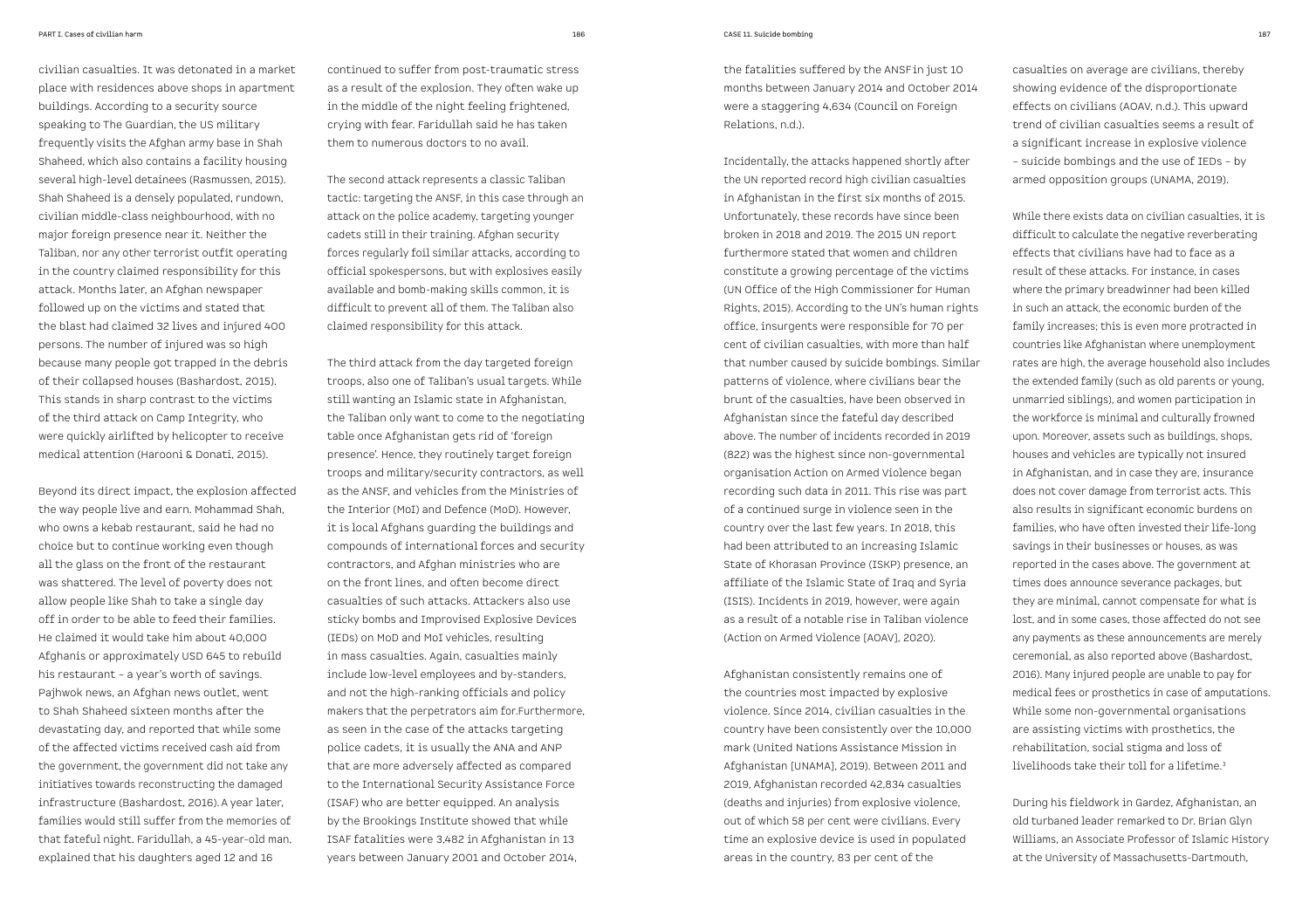civilian casualties. It was detonated in a market place with residences above shops in apartment buildings. According to a security source speaking to The Guardian, the US military frequently visits the Afghan army base in Shah Shaheed, which also contains a facility housing several high-level detainees (Rasmussen, 2015). Shah Shaheed is a densely populated, rundown, civilian middle-class neighbourhood, with no major foreign presence near it. Neither the Taliban, nor any other terrorist outfit operating in the country claimed responsibility for this attack. Months later, an Afghan newspaper followed up on the victims and stated that the blast had claimed 32 lives and injured 400 persons. The number of injured was so high because many people got trapped in the debris of their collapsed houses (Bashardost, 2015). This stands in sharp contrast to the victims of the third attack on Camp Integrity, who were quickly airlifted by helicopter to receive medical attention (Harooni & Donati, 2015).

Beyond its direct impact, the explosion affected the way people live and earn. Mohammad Shah, who owns a kebab restaurant, said he had no choice but to continue working even though all the glass on the front of the restaurant was shattered. The level of poverty does not allow people like Shah to take a single day off in order to be able to feed their families. He claimed it would take him about 40,000 Afghanis or approximately USD 645 to rebuild his restaurant – a year's worth of savings. Pajhwok news, an Afghan news outlet, went to Shah Shaheed sixteen months after the devastating day, and reported that while some of the affected victims received cash aid from the government, the government did not take any initiatives towards reconstructing the damaged infrastructure (Bashardost, 2016).A year later, families would still suffer from the memories of that fateful night. Faridullah, a 45-year-old man, explained that his daughters aged 12 and 16

continued to suffer from post-traumatic stress as a result of the explosion. They often wake up in the middle of the night feeling frightened. crying with fear. Faridullah said he has taken them to numerous doctors to no avail.

The second attack represents a classic Taliban tactic: targeting the ANSF, in this case through an attack on the police academy, targeting younger cadets still in their training. Afghan security forces regularly foil similar attacks, according to official spokespersons, but with explosives easily available and bomb-making skills common, it is difficult to prevent all of them. The Taliban also claimed responsibility for this attack.

The third attack from the day targeted foreign troops, also one of Taliban's usual targets. While still wanting an Islamic state in Afghanistan, the Taliban only want to come to the negotiating table once Afghanistan gets rid of 'foreign presence'. Hence, they routinely target foreign troops and military/security contractors, as well as the ANSF, and vehicles from the Ministries of the Interior (MoI) and Defence (MoD). However, it is local Afghans guarding the buildings and compounds of international forces and security contractors, and Afghan ministries who are on the front lines, and often become direct casualties of such attacks. Attackers also use sticky bombs and Improvised Explosive Devices (IEDs) on MoD and MoI vehicles, resulting in mass casualties. Again, casualties mainly include low-level employees and by-standers, and not the high-ranking officials and policy makers that the perpetrators aim for.Furthermore, as seen in the case of the attacks targeting police cadets, it is usually the ANA and ANP that are more adversely affected as compared to the International Security Assistance Force (ISAF) who are better equipped. An analysis by the Brookings Institute showed that while ISAF fatalities were 3,482 in Afghanistan in 13 years between January 2001 and October 2014,

the fatalities suffered by the ANSFin just 10 months between January 2014 and October 2014 were a staggering 4,634 (Council on Foreign Relations, n.d.).

Incidentally, the attacks happened shortly after the UN reported record high civilian casualties in Afghanistan in the first six months of 2015. Unfortunately, these records have since been broken in 2018 and 2019. The 2015 UN report furthermore stated that women and children constitute a growing percentage of the victims (UN Office of the High Commissioner for Human Rights, 2015). According to the UN's human rights office, insurgents were responsible for 70 per cent of civilian casualties, with more than half that number caused by suicide bombings. Similar patterns of violence, where civilians bear the brunt of the casualties, have been observed in Afghanistan since the fateful day described above. The number of incidents recorded in 2019 (822) was the highest since non-governmental organisation Action on Armed Violence began recording such data in 2011. This rise was part of a continued surge in violence seen in the country over the last few years. In 2018, this had been attributed to an increasing Islamic State of Khorasan Province (ISKP) presence, an affiliate of the Islamic State of Iraq and Syria (ISIS). Incidents in 2019, however, were again as a result of a notable rise in Taliban violence (Action on Armed Violence [AOAV], 2020).

Afghanistan consistently remains one of the countries most impacted by explosive violence. Since 2014, civilian casualties in the country have been consistently over the 10,000 mark (United Nations Assistance Mission in Afghanistan [UNAMA], 2019). Between 2011 and 2019, Afghanistan recorded 42,834 casualties (deaths and injuries) from explosive violence, out of which 58 per cent were civilians. Every time an explosive device is used in populated areas in the country, 83 per cent of the

casualties on average are civilians, thereby showing evidence of the disproportionate effects on civilians (AOAV, n.d.). This upward trend of civilian casualties seems a result of a significant increase in explosive violence – suicide bombings and the use of IEDs – by armed opposition groups (UNAMA, 2019).

While there exists data on civilian casualties, it is difficult to calculate the negative reverberating effects that civilians have had to face as a result of these attacks. For instance, in cases where the primary breadwinner had been killed in such an attack, the economic burden of the family increases; this is even more protracted in countries like Afghanistan where unemployment rates are high, the average household also includes the extended family (such as old parents or young, unmarried siblings), and women participation in the workforce is minimal and culturally frowned upon. Moreover, assets such as buildings, shops, houses and vehicles are typically not insured in Afghanistan, and in case they are, insurance does not cover damage from terrorist acts. This also results in significant economic burdens on families, who have often invested their life-long savings in their businesses or houses, as was reported in the cases above. The government at times does announce severance packages, but they are minimal, cannot compensate for what is lost, and in some cases, those affected do not see any payments as these announcements are merely ceremonial, as also reported above (Bashardost, 2016). Many injured people are unable to pay for medical fees or prosthetics in case of amputations. While some non-governmental organisations are assisting victims with prosthetics, the rehabilitation, social stigma and loss of livelihoods take their toll for a lifetime.<sup>3</sup>

During his fieldwork in Gardez, Afghanistan, an old turbaned leader remarked to Dr. Brian Glyn Williams, an Associate Professor of Islamic History at the University of Massachusetts-Dartmouth,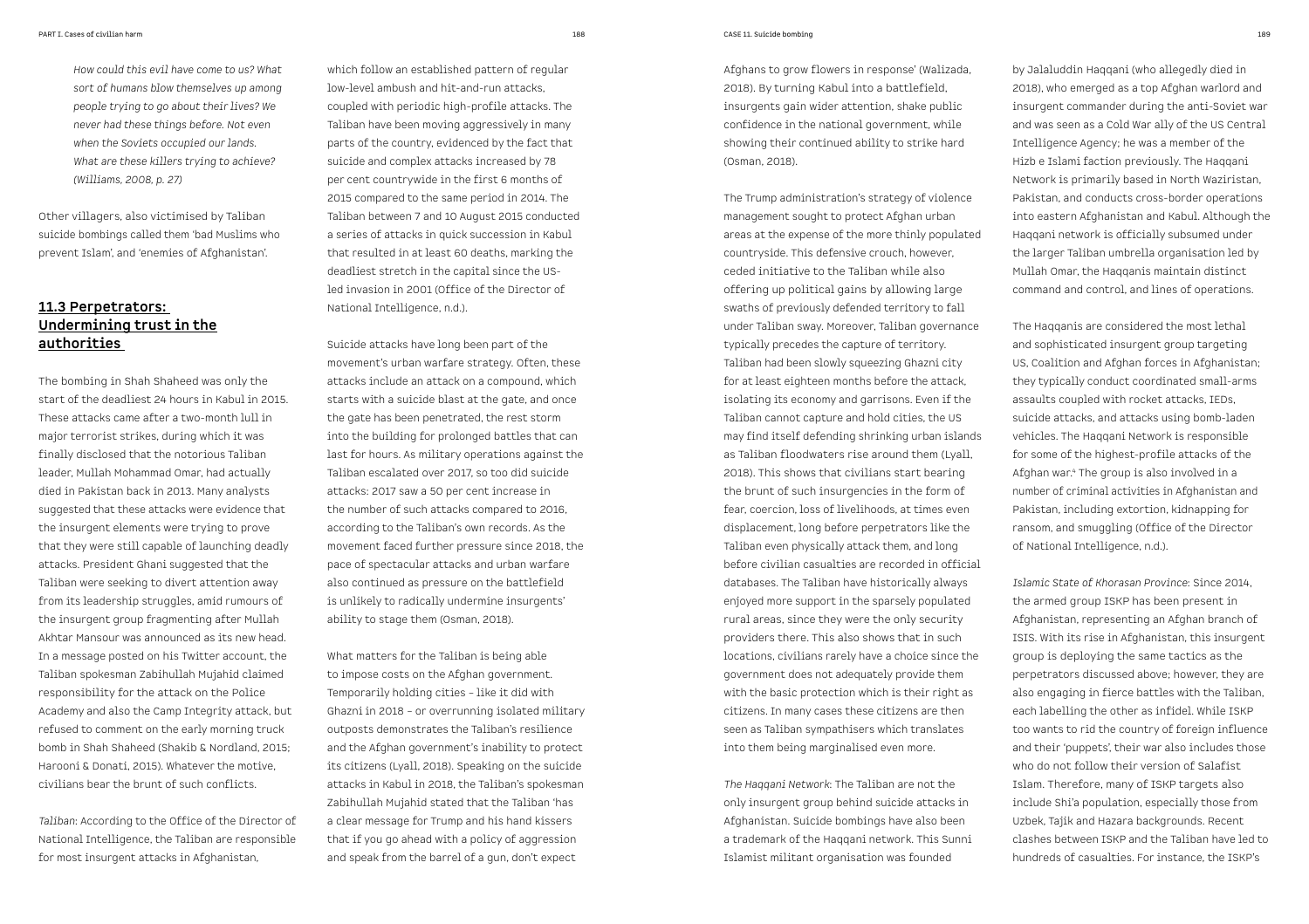*How could this evil have come to us? What sort of humans blow themselves up among people trying to go about their lives? We never had these things before. Not even when the Soviets occupied our lands. What are these killers trying to achieve? (Williams, 2008, p. 27)*

Other villagers, also victimised by Taliban suicide bombings called them 'bad Muslims who prevent Islam', and 'enemies of Afghanistan'.

# **11.3 Perpetrators: Undermining trust in the authorities**

The bombing in Shah Shaheed was only the start of the deadliest 24 hours in Kabul in 2015. These attacks came after a two-month lull in major terrorist strikes, during which it was finally disclosed that the notorious Taliban leader, Mullah Mohammad Omar, had actually died in Pakistan back in 2013. Many analysts suggested that these attacks were evidence that the insurgent elements were trying to prove that they were still capable of launching deadly attacks. President Ghani suggested that the Taliban were seeking to divert attention away from its leadership struggles, amid rumours of the insurgent group fragmenting after Mullah Akhtar Mansour was announced as its new head. In a message posted on his Twitter account, the Taliban spokesman Zabihullah Mujahid claimed responsibility for the attack on the Police Academy and also the Camp Integrity attack, but refused to comment on the early morning truck bomb in Shah Shaheed (Shakib & Nordland, 2015; Harooni & Donati, 2015). Whatever the motive, civilians bear the brunt of such conflicts.

*Taliban*: According to the Office of the Director of National Intelligence, the Taliban are responsible for most insurgent attacks in Afghanistan,

which follow an established pattern of regular low-level ambush and hit-and-run attacks, coupled with periodic high-profile attacks. The Taliban have been moving aggressively in many parts of the country, evidenced by the fact that suicide and complex attacks increased by 78 per cent countrywide in the first 6 months of 2015 compared to the same period in 2014. The Taliban between 7 and 10 August 2015 conducted a series of attacks in quick succession in Kabul that resulted in at least 60 deaths, marking the deadliest stretch in the capital since the USled invasion in 2001 (Office of the Director of National Intelligence, n.d.).

Suicide attacks have long been part of the movement's urban warfare strategy. Often, these attacks include an attack on a compound, which starts with a suicide blast at the gate, and once the gate has been penetrated, the rest storm into the building for prolonged battles that can last for hours. As military operations against the Taliban escalated over 2017, so too did suicide attacks: 2017 saw a 50 per cent increase in the number of such attacks compared to 2016, according to the Taliban's own records. As the movement faced further pressure since 2018, the pace of spectacular attacks and urban warfare also continued as pressure on the battlefield is unlikely to radically undermine insurgents' ability to stage them (Osman, 2018).

What matters for the Taliban is being able to impose costs on the Afghan government. Temporarily holding cities – like it did with Ghazni in 2018 – or overrunning isolated military outposts demonstrates the Taliban's resilience and the Afghan government's inability to protect its citizens (Lyall, 2018). Speaking on the suicide attacks in Kabul in 2018, the Taliban's spokesman Zabihullah Mujahid stated that the Taliban 'has a clear message for Trump and his hand kissers that if you go ahead with a policy of aggression and speak from the barrel of a gun, don't expect

Afghans to grow flowers in response' (Walizada, 2018). By turning Kabul into a battlefield, insurgents gain wider attention, shake public confidence in the national government, while showing their continued ability to strike hard (Osman, 2018).

The Trump administration's strategy of violence management sought to protect Afghan urban areas at the expense of the more thinly populated countryside. This defensive crouch, however, ceded initiative to the Taliban while also offering up political gains by allowing large swaths of previously defended territory to fall under Taliban sway. Moreover, Taliban governance typically precedes the capture of territory. Taliban had been slowly squeezing Ghazni city for at least eighteen months before the attack, isolating its economy and garrisons. Even if the Taliban cannot capture and hold cities, the US may find itself defending shrinking urban islands as Taliban floodwaters rise around them (Lyall, 2018). This shows that civilians start bearing the brunt of such insurgencies in the form of fear, coercion, loss of livelihoods, at times even displacement, long before perpetrators like the Taliban even physically attack them, and long before civilian casualties are recorded in official databases. The Taliban have historically always enjoyed more support in the sparsely populated rural areas, since they were the only security providers there. This also shows that in such locations, civilians rarely have a choice since the government does not adequately provide them with the basic protection which is their right as citizens. In many cases these citizens are then seen as Taliban sympathisers which translates into them being marginalised even more.

*The Haqqani Network*: The Taliban are not the only insurgent group behind suicide attacks in Afghanistan. Suicide bombings have also been a trademark of the Haqqani network. This Sunni Islamist militant organisation was founded

by Jalaluddin Haqqani (who allegedly died in 2018), who emerged as a top Afghan warlord and insurgent commander during the anti-Soviet war and was seen as a Cold War ally of the US Central Intelligence Agency; he was a member of the Hizb e Islami faction previously. The Haqqani Network is primarily based in North Waziristan, Pakistan, and conducts cross-border operations into eastern Afghanistan and Kabul. Although the Haqqani network is officially subsumed under the larger Taliban umbrella organisation led by Mullah Omar, the Haqqanis maintain distinct command and control, and lines of operations.

The Haqqanis are considered the most lethal and sophisticated insurgent group targeting US, Coalition and Afghan forces in Afghanistan; they typically conduct coordinated small-arms assaults coupled with rocket attacks, IEDs, suicide attacks, and attacks using bomb-laden vehicles. The Haqqani Network is responsible for some of the highest-profile attacks of the Afghan war.4 The group is also involved in a number of criminal activities in Afghanistan and Pakistan, including extortion, kidnapping for ransom, and smuggling (Office of the Director of National Intelligence, n.d.).

*Islamic State of Khorasan Province*: Since 2014, the armed group ISKP has been present in Afghanistan, representing an Afghan branch of ISIS. With its rise in Afghanistan, this insurgent group is deploying the same tactics as the perpetrators discussed above; however, they are also engaging in fierce battles with the Taliban, each labelling the other as infidel. While ISKP too wants to rid the country of foreign influence and their 'puppets', their war also includes those who do not follow their version of Salafist Islam. Therefore, many of ISKP targets also include Shi'a population, especially those from Uzbek, Tajik and Hazara backgrounds. Recent clashes between ISKP and the Taliban have led to hundreds of casualties. For instance, the ISKP's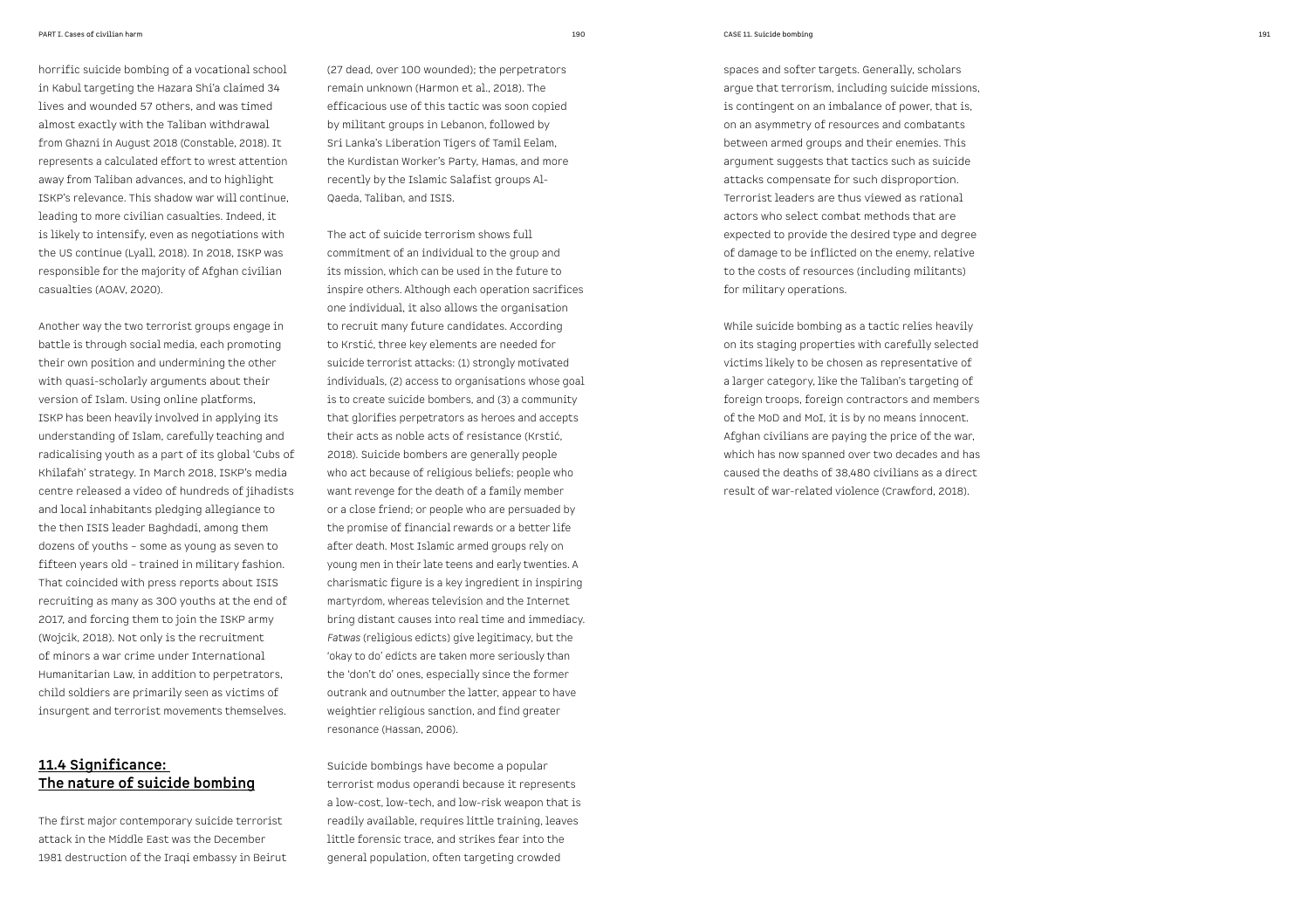horrific suicide bombing of a vocational school in Kabul targeting the Hazara Shi'a claimed 34 lives and wounded 57 others, and was timed almost exactly with the Taliban withdrawal from Ghazni in August 2018 (Constable, 2018). It represents a calculated effort to wrest attention away from Taliban advances, and to highlight ISKP's relevance. This shadow war will continue, leading to more civilian casualties. Indeed, it is likely to intensify, even as negotiations with the US continue (Lyall, 2018). In 2018, ISKP was responsible for the majority of Afghan civilian casualties (AOAV, 2020).

Another way the two terrorist groups engage in battle is through social media, each promoting their own position and undermining the other with quasi-scholarly arguments about their version of Islam. Using online platforms, ISKP has been heavily involved in applying its understanding of Islam, carefully teaching and radicalising youth as a part of its global 'Cubs of Khilafah' strategy. In March 2018, ISKP's media centre released a video of hundreds of jihadists and local inhabitants pledging allegiance to the then ISIS leader Baghdadi, among them dozens of youths – some as young as seven to fifteen years old – trained in military fashion. That coincided with press reports about ISIS recruiting as many as 300 youths at the end of 2017, and forcing them to join the ISKP army (Wojcik, 2018). Not only is the recruitment of minors a war crime under International Humanitarian Law, in addition to perpetrators, child soldiers are primarily seen as victims of insurgent and terrorist movements themselves.

## **11.4 Significance: The nature of suicide bombing**

The first major contemporary suicide terrorist attack in the Middle East was the December 1981 destruction of the Iraqi embassy in Beirut (27 dead, over 100 wounded); the perpetrators remain unknown (Harmon et al., 2018). The efficacious use of this tactic was soon copied by militant groups in Lebanon, followed by Sri Lanka's Liberation Tigers of Tamil Eelam, the Kurdistan Worker's Party, Hamas, and more recently by the Islamic Salafist groups Al-Qaeda, Taliban, and ISIS.

The act of suicide terrorism shows full commitment of an individual to the group and its mission, which can be used in the future to inspire others. Although each operation sacrifices one individual, it also allows the organisation to recruit many future candidates. According to Krstić, three key elements are needed for suicide terrorist attacks: (1) strongly motivated individuals, (2) access to organisations whose goal is to create suicide bombers, and (3) a community that glorifies perpetrators as heroes and accepts their acts as noble acts of resistance (Krstić, 2018). Suicide bombers are generally people who act because of religious beliefs; people who want revenge for the death of a family member or a close friend; or people who are persuaded by the promise of financial rewards or a better life after death. Most Islamic armed groups rely on young men in their late teens and early twenties. A charismatic figure is a key ingredient in inspiring martyrdom, whereas television and the Internet bring distant causes into real time and immediacy. *Fatwas* (religious edicts) give legitimacy, but the 'okay to do' edicts are taken more seriously than the 'don't do' ones, especially since the former outrank and outnumber the latter, appear to have weightier religious sanction, and find greater resonance (Hassan, 2006).

Suicide bombings have become a popular terrorist modus operandi because it represents a low-cost, low-tech, and low-risk weapon that is readily available, requires little training, leaves little forensic trace, and strikes fear into the general population, often targeting crowded

spaces and softer targets. Generally, scholars argue that terrorism, including suicide missions, is contingent on an imbalance of power, that is, on an asymmetry of resources and combatants between armed groups and their enemies. This argument suggests that tactics such as suicide attacks compensate for such disproportion. Terrorist leaders are thus viewed as rational actors who select combat methods that are expected to provide the desired type and degree of damage to be inflicted on the enemy, relative to the costs of resources (including militants) for military operations.

While suicide bombing as a tactic relies heavily on its staging properties with carefully selected victims likely to be chosen as representative of a larger category, like the Taliban's targeting of foreign troops, foreign contractors and members of the MoD and MoI, it is by no means innocent. Afghan civilians are paying the price of the war, which has now spanned over two decades and has caused the deaths of 38,480 civilians as a direct result of war-related violence (Crawford, 2018).